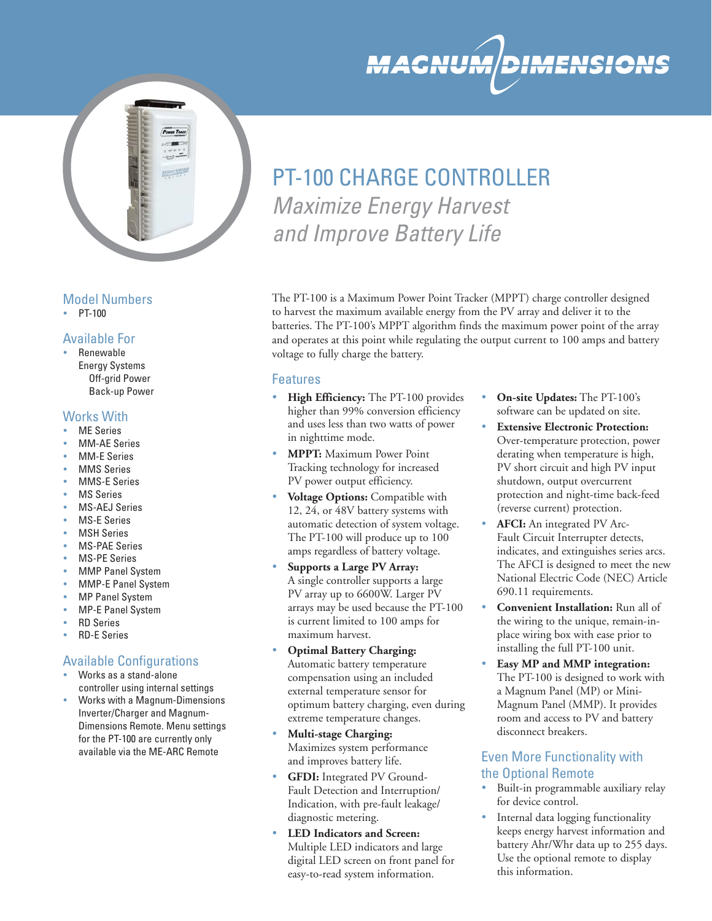

### Model Numbers

 $\cdot$  PT-100

### Available For

• Renewable Energy Systems Off-grid Power Back-up Power

### Works With

- ME Series
- MM-AE Series
- MM-E Series
- MMS Series
- MMS-E Series
- MS Series
- MS-AEJ Series
- MS-E Series
- MSH Series
- MS-PAE Series
- MS-PE Series
- MMP Panel System
- MMP-E Panel System
- MP Panel System
- MP-E Panel System
- RD Series
- RD-E Series

### Available Configurations

- Works as a stand-alone controller using internal settings
- Works with a Magnum-Dimensions Inverter/Charger and Magnum-Dimensions Remote. Menu settings for the PT-100 are currently only available via the ME-ARC Remote

# PT-100 CHARGE CONTROLLER *Maximize Energy Harvest and Improve Battery Life*

The PT-100 is a Maximum Power Point Tracker (MPPT) charge controller designed to harvest the maximum available energy from the PV array and deliver it to the batteries. The PT-100's MPPT algorithm finds the maximum power point of the array and operates at this point while regulating the output current to 100 amps and battery voltage to fully charge the battery.

### Features

- **High Efficiency:** The PT-100 provides higher than 99% conversion efficiency and uses less than two watts of power in nighttime mode.
- **MPPT:** Maximum Power Point Tracking technology for increased PV power output efficiency.
- **Voltage Options:** Compatible with 12, 24, or 48V battery systems with automatic detection of system voltage. The PT-100 will produce up to 100 amps regardless of battery voltage.
- **Supports a Large PV Array:** A single controller supports a large PV array up to 6600W. Larger PV arrays may be used because the PT-100 is current limited to 100 amps for maximum harvest.
- **Optimal Battery Charging:** Automatic battery temperature compensation using an included external temperature sensor for optimum battery charging, even during extreme temperature changes.
- **Multi-stage Charging:**  Maximizes system performance and improves battery life.
- **GFDI:** Integrated PV Ground-Fault Detection and Interruption/ Indication, with pre-fault leakage/ diagnostic metering.
- **LED Indicators and Screen:** Multiple LED indicators and large digital LED screen on front panel for easy-to-read system information.
- **On-site Updates:** The PT-100's software can be updated on site.
- **Extensive Electronic Protection:** Over-temperature protection, power derating when temperature is high, PV short circuit and high PV input shutdown, output overcurrent protection and night-time back-feed (reverse current) protection.
- **AFCI:** An integrated PV Arc-Fault Circuit Interrupter detects, indicates, and extinguishes series arcs. The AFCI is designed to meet the new National Electric Code (NEC) Article 690.11 requirements.
- **Convenient Installation:** Run all of the wiring to the unique, remain-inplace wiring box with ease prior to installing the full PT-100 unit.
- **Easy MP and MMP integration:** The PT-100 is designed to work with a Magnum Panel (MP) or Mini-Magnum Panel (MMP). It provides room and access to PV and battery disconnect breakers.

### Even More Functionality with the Optional Remote

- Built-in programmable auxiliary relay for device control.
- Internal data logging functionality keeps energy harvest information and battery Ahr/Whr data up to 255 days. Use the optional remote to display this information.